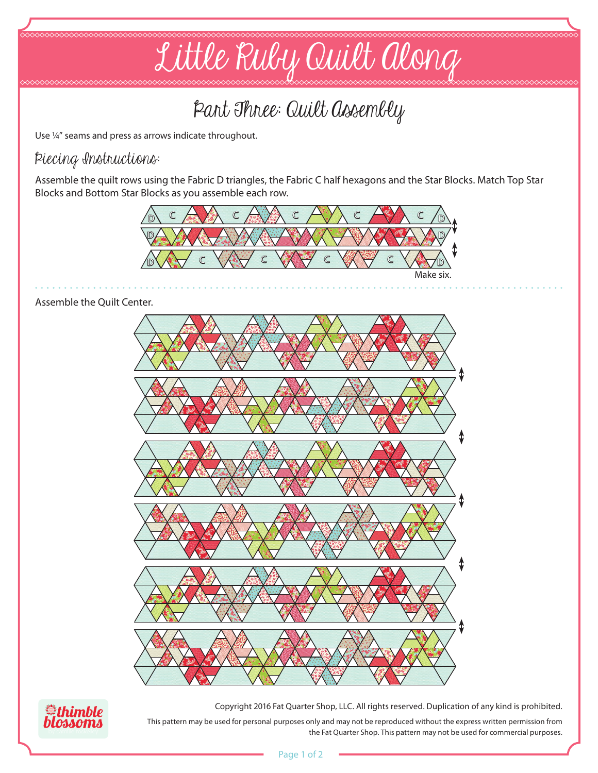## Little Ruby Quilt Along

## Part Three: Quilt Assembly

Use ¼" seams and press as arrows indicate throughout.

## Piecing Instructions:

Assemble the quilt rows using the Fabric D triangles, the Fabric C half hexagons and the Star Blocks. Match Top Star Blocks and Bottom Star Blocks as you assemble each row.



Assemble the Quilt Center.



**sethimble**<br>blossoms

Copyright 2016 Fat Quarter Shop, LLC. All rights reserved. Duplication of any kind is prohibited.

This pattern may be used for personal purposes only and may not be reproduced without the express written permission from the Fat Quarter Shop. This pattern may not be used for commercial purposes.